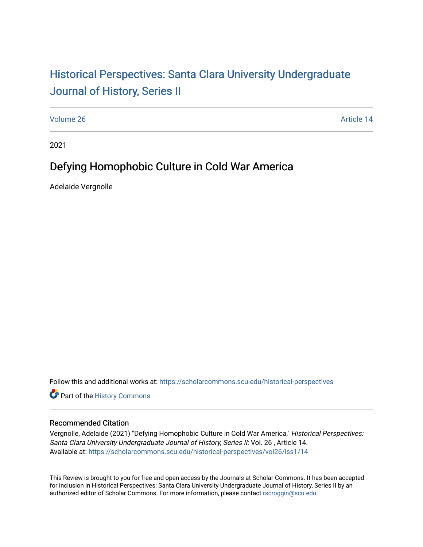# Historical Perspectiv[es: Santa Clara University Under](https://scholarcommons.scu.edu/historical-perspectives)graduate [Journal of History, Series II](https://scholarcommons.scu.edu/historical-perspectives)

[Volume 26](https://scholarcommons.scu.edu/historical-perspectives/vol26) Article 14

2021

# Defying Homophobic Culture in Cold War America

Adelaide Vergnolle

Follow this and additional works at: [https://scholarcommons.scu.edu/historical-perspectives](https://scholarcommons.scu.edu/historical-perspectives?utm_source=scholarcommons.scu.edu%2Fhistorical-perspectives%2Fvol26%2Fiss1%2F14&utm_medium=PDF&utm_campaign=PDFCoverPages) 

Part of the [History Commons](http://network.bepress.com/hgg/discipline/489?utm_source=scholarcommons.scu.edu%2Fhistorical-perspectives%2Fvol26%2Fiss1%2F14&utm_medium=PDF&utm_campaign=PDFCoverPages) 

#### Recommended Citation

Vergnolle, Adelaide (2021) "Defying Homophobic Culture in Cold War America," Historical Perspectives: Santa Clara University Undergraduate Journal of History, Series II: Vol. 26 , Article 14. Available at: [https://scholarcommons.scu.edu/historical-perspectives/vol26/iss1/14](https://scholarcommons.scu.edu/historical-perspectives/vol26/iss1/14?utm_source=scholarcommons.scu.edu%2Fhistorical-perspectives%2Fvol26%2Fiss1%2F14&utm_medium=PDF&utm_campaign=PDFCoverPages)

This Review is brought to you for free and open access by the Journals at Scholar Commons. It has been accepted for inclusion in Historical Perspectives: Santa Clara University Undergraduate Journal of History, Series II by an authorized editor of Scholar Commons. For more information, please contact [rscroggin@scu.edu](mailto:rscroggin@scu.edu).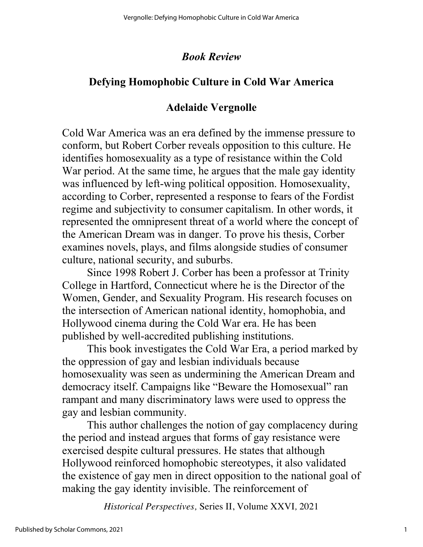#### *Book Review*

### **Defying Homophobic Culture in Cold War America**

#### **Adelaide Vergnolle**

Cold War America was an era defined by the immense pressure to conform, but Robert Corber reveals opposition to this culture. He identifies homosexuality as a type of resistance within the Cold War period. At the same time, he argues that the male gay identity was influenced by left-wing political opposition. Homosexuality, according to Corber, represented a response to fears of the Fordist regime and subjectivity to consumer capitalism. In other words, it represented the omnipresent threat of a world where the concept of the American Dream was in danger. To prove his thesis, Corber examines novels, plays, and films alongside studies of consumer culture, national security, and suburbs.

Since 1998 Robert J. Corber has been a professor at Trinity College in Hartford, Connecticut where he is the Director of the Women, Gender, and Sexuality Program. His research focuses on the intersection of American national identity, homophobia, and Hollywood cinema during the Cold War era. He has been published by well-accredited publishing institutions.

This book investigates the Cold War Era, a period marked by the oppression of gay and lesbian individuals because homosexuality was seen as undermining the American Dream and democracy itself. Campaigns like "Beware the Homosexual" ran rampant and many discriminatory laws were used to oppress the gay and lesbian community.

This author challenges the notion of gay complacency during the period and instead argues that forms of gay resistance were exercised despite cultural pressures. He states that although Hollywood reinforced homophobic stereotypes, it also validated the existence of gay men in direct opposition to the national goal of making the gay identity invisible. The reinforcement of

*Historical Perspectives,* Series II, Volume XXVI*,* 2021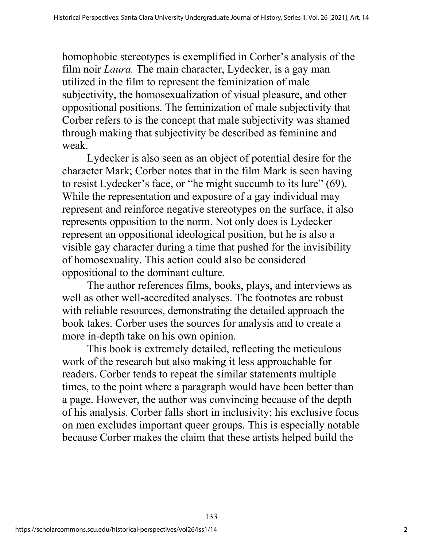homophobic stereotypes is exemplified in Corber's analysis of the film noir *Laura*. The main character, Lydecker, is a gay man utilized in the film to represent the feminization of male subjectivity, the homosexualization of visual pleasure, and other oppositional positions. The feminization of male subjectivity that Corber refers to is the concept that male subjectivity was shamed through making that subjectivity be described as feminine and weak.

Lydecker is also seen as an object of potential desire for the character Mark; Corber notes that in the film Mark is seen having to resist Lydecker's face, or "he might succumb to its lure" (69). While the representation and exposure of a gay individual may represent and reinforce negative stereotypes on the surface, it also represents opposition to the norm. Not only does is Lydecker represent an oppositional ideological position, but he is also a visible gay character during a time that pushed for the invisibility of homosexuality. This action could also be considered oppositional to the dominant culture.

The author references films, books, plays, and interviews as well as other well-accredited analyses. The footnotes are robust with reliable resources, demonstrating the detailed approach the book takes. Corber uses the sources for analysis and to create a more in-depth take on his own opinion.

This book is extremely detailed, reflecting the meticulous work of the research but also making it less approachable for readers. Corber tends to repeat the similar statements multiple times, to the point where a paragraph would have been better than a page. However, the author was convincing because of the depth of his analysis*.* Corber falls short in inclusivity; his exclusive focus on men excludes important queer groups. This is especially notable because Corber makes the claim that these artists helped build the

133